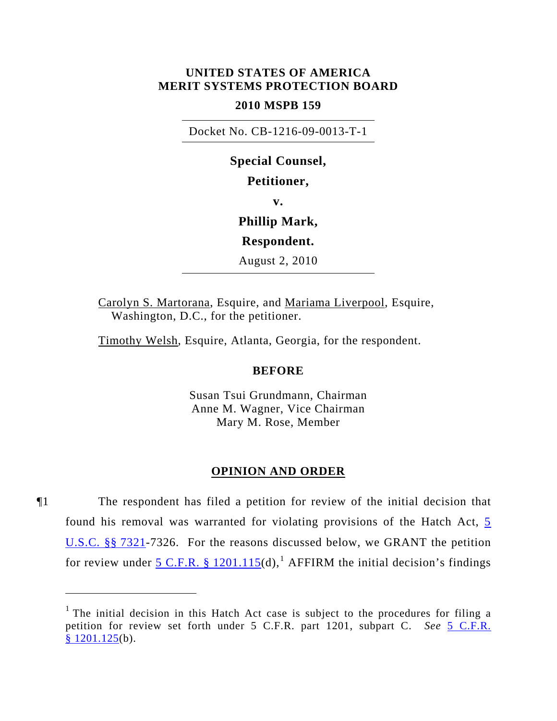# **UNITED STATES OF AMERICA MERIT SYSTEMS PROTECTION BOARD**

## **2010 MSPB 159**

Docket No. CB-1216-09-0013-T-1

**Special Counsel, Petitioner, v. Phillip Mark, Respondent.**  August 2, 2010

Carolyn S. Martorana, Esquire, and Mariama Liverpool, Esquire, Washington, D.C., for the petitioner.

Timothy Welsh, Esquire, Atlanta, Georgia, for the respondent.

### **BEFORE**

Susan Tsui Grundmann, Chairman Anne M. Wagner, Vice Chairman Mary M. Rose, Member

### **OPINION AND ORDER**

¶1 The respondent has filed a petition for review of the initial decision that found his removal was warranted for violating provisions of the Hatch Act, [5](http://www.law.cornell.edu/uscode/5/7321.html)  [U.S.C. §§ 7321-](http://www.law.cornell.edu/uscode/5/7321.html)7326. For the reasons discussed below, we GRANT the petition for review under  $5 \text{ C.F.R. }$  § [1](#page-0-0)201.115(d), <sup>1</sup> AFFIRM the initial decision's findings

<span id="page-0-0"></span><sup>&</sup>lt;sup>1</sup> The initial decision in this Hatch Act case is subject to the procedures for filing a petition for review set forth under 5 C.F.R. part 1201, subpart C. *See* [5 C.F.R.](http://frwebgate.access.gpo.gov/cgi-bin/get-cfr.cgi?YEAR=current&TITLE=5&PART=1201&SECTION=125&TYPE=PDF)   $§ 1201.125(b).$  $§ 1201.125(b).$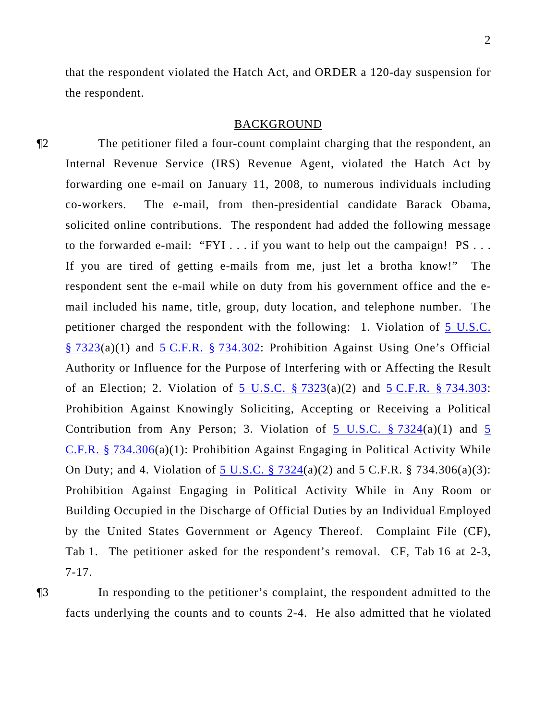that the respondent violated the Hatch Act, and ORDER a 120-day suspension for the respondent.

#### BACKGROUND

¶2 The petitioner filed a four-count complaint charging that the respondent, an Internal Revenue Service (IRS) Revenue Agent, violated the Hatch Act by forwarding one e-mail on January 11, 2008, to numerous individuals including co-workers. The e-mail, from then-presidential candidate Barack Obama, solicited online contributions. The respondent had added the following message to the forwarded e-mail: "FYI . . . if you want to help out the campaign! PS . . . If you are tired of getting e-mails from me, just let a brotha know!" The respondent sent the e-mail while on duty from his government office and the email included his name, title, group, duty location, and telephone number. The petitioner charged the respondent with the following: 1. Violation of [5 U.S.C.](http://www.law.cornell.edu/uscode/5/7323.html)  [§ 7323\(](http://www.law.cornell.edu/uscode/5/7323.html)a)(1) and [5 C.F.R. § 734.302](http://frwebgate.access.gpo.gov/cgi-bin/get-cfr.cgi?YEAR=current&TITLE=5&PART=734&SECTION=302&TYPE=PDF): Prohibition Against Using One's Official Authority or Influence for the Purpose of Interfering with or Affecting the Result of an Election; 2. Violation of 5 U.S.C.  $\S$  7323(a)(2) and 5 C.F.R.  $\S$  734.303: Prohibition Against Knowingly Soliciting, Accepting or Receiving a Political Contribution from Any Person; 3. Violation of [5](http://frwebgate.access.gpo.gov/cgi-bin/get-cfr.cgi?YEAR=current&TITLE=5&PART=734&SECTION=306&TYPE=PDF) U.S.C.  $\S 7324(a)(1)$  and 5 [C.F.R. § 734.306](http://frwebgate.access.gpo.gov/cgi-bin/get-cfr.cgi?YEAR=current&TITLE=5&PART=734&SECTION=306&TYPE=PDF)(a)(1): Prohibition Against Engaging in Political Activity While On Duty; and 4. Violation of [5 U.S.C. § 7324\(](http://www.law.cornell.edu/uscode/5/7324.html)a)(2) and 5 C.F.R. § 734.306(a)(3): Prohibition Against Engaging in Political Activity While in Any Room or Building Occupied in the Discharge of Official Duties by an Individual Employed by the United States Government or Agency Thereof. Complaint File (CF), Tab 1. The petitioner asked for the respondent's removal. CF, Tab 16 at 2-3, 7-17.

¶3 In responding to the petitioner's complaint, the respondent admitted to the facts underlying the counts and to counts 2-4. He also admitted that he violated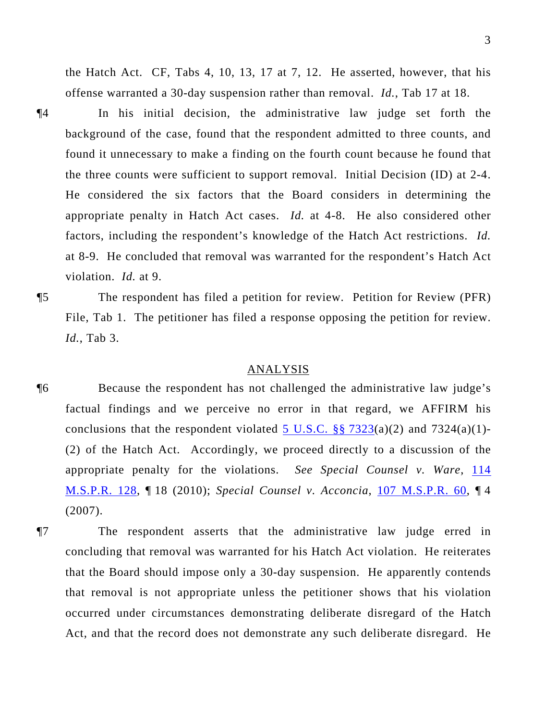the Hatch Act. CF, Tabs 4, 10, 13, 17 at 7, 12. He asserted, however, that his offense warranted a 30-day suspension rather than removal. *Id.*, Tab 17 at 18.

¶4 In his initial decision, the administrative law judge set forth the background of the case, found that the respondent admitted to three counts, and found it unnecessary to make a finding on the fourth count because he found that the three counts were sufficient to support removal. Initial Decision (ID) at 2-4. He considered the six factors that the Board considers in determining the appropriate penalty in Hatch Act cases. *Id.* at 4-8. He also considered other factors, including the respondent's knowledge of the Hatch Act restrictions. *Id.* at 8-9. He concluded that removal was warranted for the respondent's Hatch Act violation. *Id.* at 9.

¶5 The respondent has filed a petition for review. Petition for Review (PFR) File, Tab 1. The petitioner has filed a response opposing the petition for review. *Id.*, Tab 3.

### ANALYSIS

- ¶6 Because the respondent has not challenged the administrative law judge's factual findings and we perceive no error in that regard, we AFFIRM his conclusions that the respondent violated 5 U.S.C.  $\S$   $\S$   $7323(a)(2)$  and  $7324(a)(1)$ -(2) of the Hatch Act. Accordingly, we proceed directly to a discussion of the appropriate penalty for the violations. *See Special Counsel v. Ware*, [114](http://www.mspb.gov/netsearch/getdecision.aspx?volume=114&page=128)  [M.S.P.R. 128,](http://www.mspb.gov/netsearch/getdecision.aspx?volume=114&page=128) ¶ 18 (2010); *Special Counsel v. Acconcia*, [107 M.S.P.R. 60](http://www.mspb.gov/netsearch/getdecision.aspx?volume=107&page=60), ¶ 4 (2007).
- ¶7 The respondent asserts that the administrative law judge erred in concluding that removal was warranted for his Hatch Act violation. He reiterates that the Board should impose only a 30-day suspension. He apparently contends that removal is not appropriate unless the petitioner shows that his violation occurred under circumstances demonstrating deliberate disregard of the Hatch Act, and that the record does not demonstrate any such deliberate disregard. He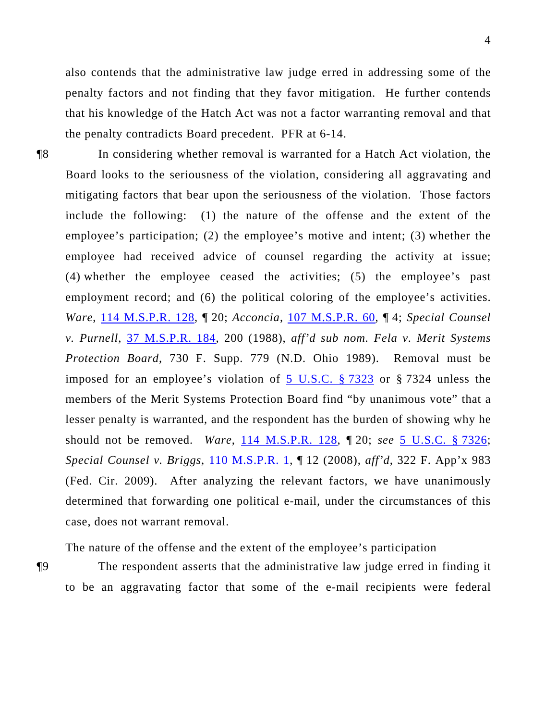also contends that the administrative law judge erred in addressing some of the penalty factors and not finding that they favor mitigation. He further contends that his knowledge of the Hatch Act was not a factor warranting removal and that the penalty contradicts Board precedent. PFR at 6-14.

¶8 In considering whether removal is warranted for a Hatch Act violation, the Board looks to the seriousness of the violation, considering all aggravating and mitigating factors that bear upon the seriousness of the violation. Those factors include the following: (1) the nature of the offense and the extent of the employee's participation; (2) the employee's motive and intent; (3) whether the employee had received advice of counsel regarding the activity at issue; (4) whether the employee ceased the activities; (5) the employee's past employment record; and (6) the political coloring of the employee's activities. *Ware*, [114 M.S.P.R. 128,](http://www.mspb.gov/netsearch/getdecision.aspx?volume=114&page=128) ¶ 20; *Acconcia*, [107 M.S.P.R. 60,](http://www.mspb.gov/netsearch/getdecision.aspx?volume=107&page=60) ¶ 4; *Special Counsel v. Purnell*, [37 M.S.P.R. 184](http://www.mspb.gov/netsearch/getdecision.aspx?volume=37&page=184), 200 (1988), *aff'd sub nom. Fela v. Merit Systems Protection Board*, 730 F. Supp. 779 (N.D. Ohio 1989). Removal must be imposed for an employee's violation of [5 U.S.C. § 7323](http://www.law.cornell.edu/uscode/5/7323.html) or § 7324 unless the members of the Merit Systems Protection Board find "by unanimous vote" that a lesser penalty is warranted, and the respondent has the burden of showing why he should not be removed. *Ware*, [114 M.S.P.R. 128](http://www.mspb.gov/netsearch/getdecision.aspx?volume=114&page=128), ¶ 20; *see* [5 U.S.C. § 7326;](http://www.law.cornell.edu/uscode/5/7326.html) *Special Counsel v. Briggs*, [110 M.S.P.R. 1,](http://www.mspb.gov/netsearch/getdecision.aspx?volume=110&page=1) ¶ 12 (2008), *aff'd*, 322 F. App'x 983 (Fed. Cir. 2009). After analyzing the relevant factors, we have unanimously determined that forwarding one political e-mail, under the circumstances of this case, does not warrant removal.

# The nature of the offense and the extent of the employee's participation

¶9 The respondent asserts that the administrative law judge erred in finding it to be an aggravating factor that some of the e-mail recipients were federal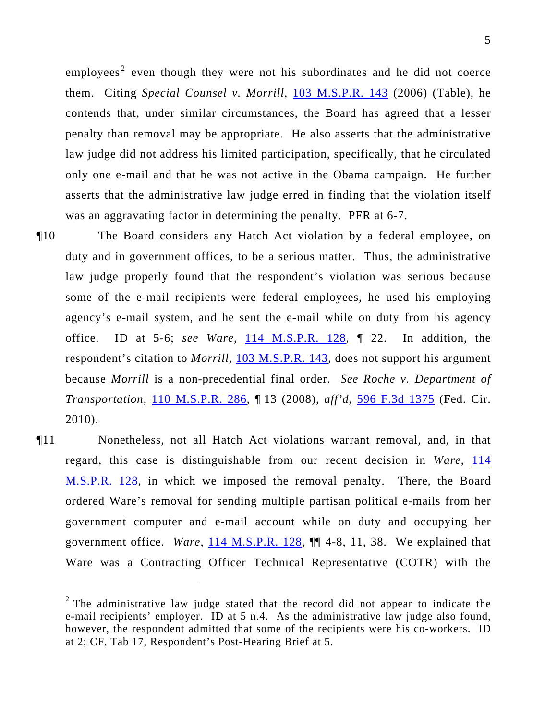employees<sup>2</sup> even though they were not his subordinates and he did not coerce them. Citing *Special Counsel v. Morrill*, 103 M.S.P.R. 143 (2006) (Table), he contends that, under similar circumstances, the Board has agreed that a lesser penalty than removal may be appropriate. He also asserts that the administrative law judge did not address his limited participation, specifically, that he circulated only one e-mail and that he was not active in the Obama campaign. He further asserts that the administrative law judge erred in finding that the violation itself was an aggravating factor in determining the penalty. PFR at 6-7.

- ¶10 The Board considers any Hatch Act violation by a federal employee, on duty and in government offices, to be a serious matter. Thus, the administrative law judge properly found that the respondent's violation was serious because some of the e-mail recipients were federal employees, he used his employing agency's e-mail system, and he sent the e-mail while on duty from his agency office. ID at 5-6; *see Ware*, [114 M.S.P.R. 128,](http://www.mspb.gov/netsearch/getdecision.aspx?volume=114&page=128) ¶ 22. In addition, the respondent's citation to *Morrill*, [103 M.S.P.R. 143,](http://www.mspb.gov/netsearch/getdecision.aspx?volume=103&page=143) does not support his argument because *Morrill* is a non-precedential final order. *See Roche v. Department of Transportation*, [110 M.S.P.R. 286](http://www.mspb.gov/netsearch/getdecision.aspx?volume=110&page=286), ¶ 13 (2008), *aff'd*, [596 F.3d 1375](http://lawlibrary.rutgers.edu/resource.org/fed_reporter/F3/596/596.F3d.1375.html) (Fed. Cir. 2010).
- ¶11 Nonetheless, not all Hatch Act violations warrant removal, and, in that regard, this case is distinguishable from our recent decision in *Ware*, [114](http://www.mspb.gov/netsearch/getdecision.aspx?volume=114&page=128)  [M.S.P.R. 128,](http://www.mspb.gov/netsearch/getdecision.aspx?volume=114&page=128) in which we imposed the removal penalty. There, the Board ordered Ware's removal for sending multiple partisan political e-mails from her government computer and e-mail account while on duty and occupying her government office. *Ware*, [114 M.S.P.R. 128](http://www.mspb.gov/netsearch/getdecision.aspx?volume=114&page=128), ¶¶ 4-8, 11, 38. We explained that Ware was a Contracting Officer Technical Representative (COTR) with the

 $\overline{a}$ 

<sup>&</sup>lt;sup>2</sup> The administrative law judge stated that the record did not appear to indicate the e-mail recipients' employer. ID at 5 n.4. As the administrative law judge also found, however, the respondent admitted that some of the recipients were his co-workers. ID at 2; CF, Tab 17, Respondent's Post-Hearing Brief at 5.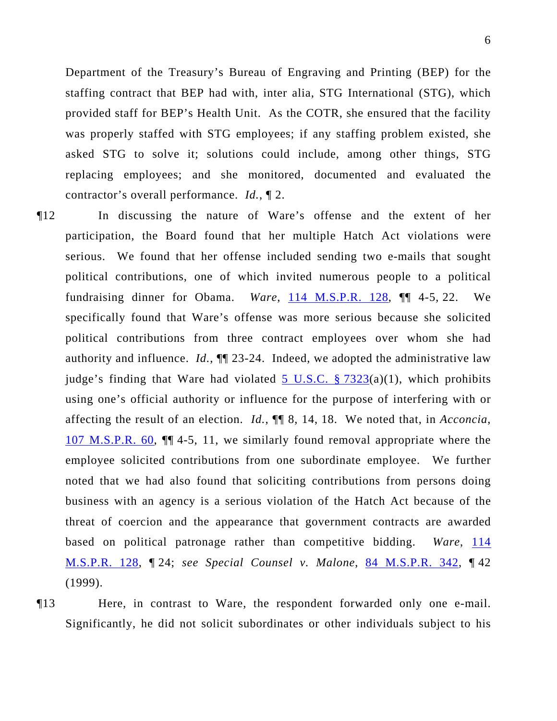Department of the Treasury's Bureau of Engraving and Printing (BEP) for the staffing contract that BEP had with, inter alia, STG International (STG), which provided staff for BEP's Health Unit. As the COTR, she ensured that the facility was properly staffed with STG employees; if any staffing problem existed, she asked STG to solve it; solutions could include, among other things, STG replacing employees; and she monitored, documented and evaluated the contractor's overall performance. *Id.*, ¶ 2.

- ¶12 In discussing the nature of Ware's offense and the extent of her participation, the Board found that her multiple Hatch Act violations were serious. We found that her offense included sending two e-mails that sought political contributions, one of which invited numerous people to a political fundraising dinner for Obama. *Ware*, [114 M.S.P.R. 128](http://www.mspb.gov/netsearch/getdecision.aspx?volume=114&page=128),  $\P$  4-5, 22. We specifically found that Ware's offense was more serious because she solicited political contributions from three contract employees over whom she had authority and influence. *Id.*, ¶¶ 23-24. Indeed, we adopted the administrative law judge's finding that Ware had violated  $\overline{5}$  U.S.C. § 7323(a)(1), which prohibits using one's official authority or influence for the purpose of interfering with or affecting the result of an election. *Id.*, ¶¶ 8, 14, 18. We noted that, in *Acconcia*, [107 M.S.P.R. 60](http://www.mspb.gov/netsearch/getdecision.aspx?volume=107&page=60), ¶¶ 4-5, 11, we similarly found removal appropriate where the employee solicited contributions from one subordinate employee. We further noted that we had also found that soliciting contributions from persons doing business with an agency is a serious violation of the Hatch Act because of the threat of coercion and the appearance that government contracts are awarded based on political patronage rather than competitive bidding. *Ware*, 114 [M.S.P.R. 128,](http://www.mspb.gov/netsearch/getdecision.aspx?volume=114&page=128) ¶ 24; *see Special Counsel v. Malone*, [84 M.S.P.R. 342](http://www.mspb.gov/netsearch/getdecision.aspx?volume=84&page=342), ¶ 42 (1999).
- ¶13 Here, in contrast to Ware, the respondent forwarded only one e-mail. Significantly, he did not solicit subordinates or other individuals subject to his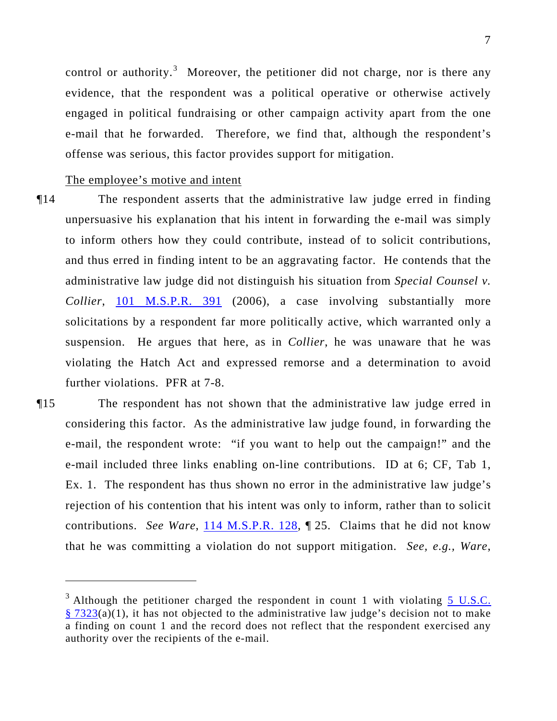control or authority.<sup>3</sup> Moreover, the petitioner did not charge, nor is there any evidence, that the respondent was a political operative or otherwise actively engaged in political fundraising or other campaign activity apart from the one e-mail that he forwarded. Therefore, we find that, although the respondent's offense was serious, this factor provides support for mitigation.

The employee's motive and intent

 $\overline{a}$ 

- ¶14 The respondent asserts that the administrative law judge erred in finding unpersuasive his explanation that his intent in forwarding the e-mail was simply to inform others how they could contribute, instead of to solicit contributions, and thus erred in finding intent to be an aggravating factor. He contends that the administrative law judge did not distinguish his situation from *Special Counsel v. Collier*, [101 M.S.P.R. 391](http://www.mspb.gov/netsearch/getdecision.aspx?volume=101&page=391) (2006), a case involving substantially more solicitations by a respondent far more politically active, which warranted only a suspension. He argues that here, as in *Collier*, he was unaware that he was violating the Hatch Act and expressed remorse and a determination to avoid further violations. PFR at 7-8.
- ¶15 The respondent has not shown that the administrative law judge erred in considering this factor. As the administrative law judge found, in forwarding the e-mail, the respondent wrote: "if you want to help out the campaign!" and the e-mail included three links enabling on-line contributions. ID at 6; CF, Tab 1, Ex. 1. The respondent has thus shown no error in the administrative law judge's rejection of his contention that his intent was only to inform, rather than to solicit contributions. *See Ware*, **[114 M.S.P.R. 128](http://www.mspb.gov/netsearch/getdecision.aspx?volume=114&page=128), T** 25. Claims that he did not know that he was committing a violation do not support mitigation. *See, e.g., Ware*,

 $3$  Although the petitioner charged the respondent in count 1 with violating  $5$  U.S.C.  $§ 7323(a)(1)$  $§ 7323(a)(1)$ , it has not objected to the administrative law judge's decision not to make a finding on count 1 and the record does not reflect that the respondent exercised any authority over the recipients of the e-mail.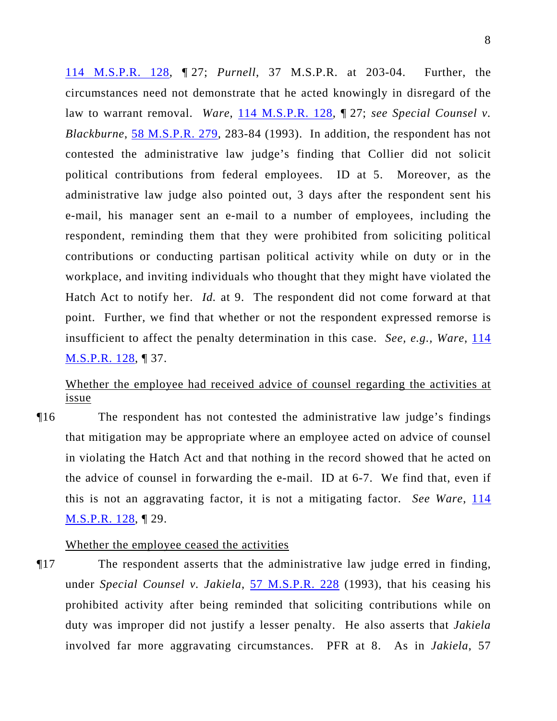114 M.S.P.R. 128, ¶ 27; *Purnell*, 37 M.S.P.R. at 203-04. Further, the circumstances need not demonstrate that he acted knowingly in disregard of the law to warrant removal. *Ware*, 114 M.S.P.R. 128, 127; *see Special Counsel v. Blackburne*, 58 M.S.P.R. 279, 283-84 (1993). In addition, the respondent has not contested the administrative law judge's finding that Collier did not solicit political contributions from federal employees. ID at 5. Moreover, as the administrative law judge also pointed out, 3 days after the respondent sent his e-mail, his manager sent an e-mail to a number of employees, including the respondent, reminding them that they were prohibited from soliciting political contributions or conducting partisan political activity while on duty or in the workplace, and inviting individuals who thought that they might have violated the Hatch Act to notify her. *Id.* at 9. The respondent did not come forward at that point. Further, we find that whether or not the respondent expressed remorse is insufficient to affect the penalty determination in this case. *See, e.g., Ware*, 114 M.S.P.R. 128, ¶ 37.

# Whether the employee had received advice of counsel regarding the activities at issue

¶16 The respondent has not contested the administrative law judge's findings that mitigation may be appropriate where an employee acted on advice of counsel in violating the Hatch Act and that nothing in the record showed that he acted on the advice of counsel in forwarding the e-mail. ID at 6-7. We find that, even if this is not an aggravating factor, it is not a mitigating factor. *See Ware*, 114 [M.S.P.R. 128,](http://www.mspb.gov/netsearch/getdecision.aspx?volume=114&page=128) ¶ 29.

### Whether the employee ceased the activities

¶17 The respondent asserts that the administrative law judge erred in finding, under *Special Counsel v. Jakiela*, [57 M.S.P.R. 228](http://www.mspb.gov/netsearch/getdecision.aspx?volume=57&page=228) (1993), that his ceasing his prohibited activity after being reminded that soliciting contributions while on duty was improper did not justify a lesser penalty. He also asserts that *Jakiela* involved far more aggravating circumstances. PFR at 8. As in *Jakiela*, 57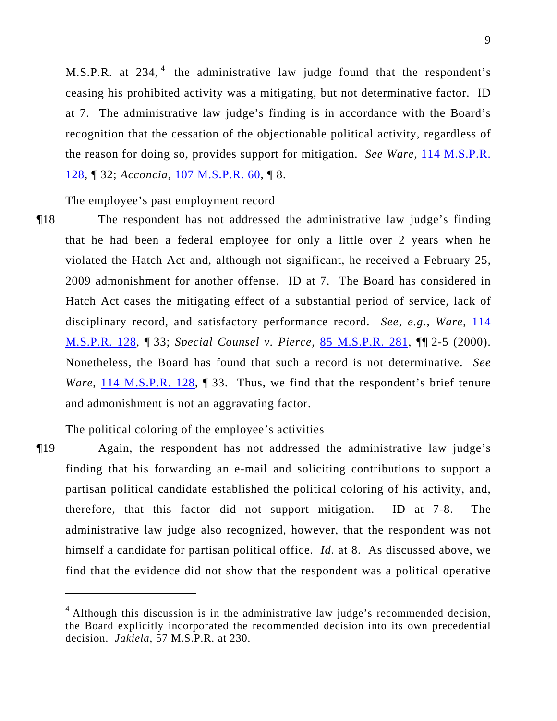M.S.P.R. at  $234$ ,  $4$  the administrative law judge found that the respondent's ceasing his prohibited activity was a mitigating, but not determinative factor. ID at 7. The administrative law judge's finding is in accordance with the Board's recognition that the cessation of the objectionable political activity, regardless of the reason for doing so, provides support for mitigation. *See Ware*, 114 M.S.P.R. 128, ¶ 32; *Acconcia*, 107 M.S.P.R. 60, ¶ 8.

### The employee's past employment record

¶18 The respondent has not addressed the administrative law judge's finding that he had been a federal employee for only a little over 2 years when he violated the Hatch Act and, although not significant, he received a February 25, 2009 admonishment for another offense. ID at 7. The Board has considered in Hatch Act cases the mitigating effect of a substantial period of service, lack of disciplinary record, and satisfactory performance record. *See, e.g., Ware*, [114](http://www.mspb.gov/netsearch/getdecision.aspx?volume=114&page=128)  [M.S.P.R. 128,](http://www.mspb.gov/netsearch/getdecision.aspx?volume=114&page=128) ¶ 33; *Special Counsel v. Pierce*, [85 M.S.P.R. 281,](http://www.mspb.gov/netsearch/getdecision.aspx?volume=85&page=281) ¶¶ 2-5 (2000). Nonetheless, the Board has found that such a record is not determinative. *See Ware*, [114 M.S.P.R. 128](http://www.mspb.gov/netsearch/getdecision.aspx?volume=114&page=128), 133. Thus, we find that the respondent's brief tenure and admonishment is not an aggravating factor.

### The political coloring of the employee's activities

 $\overline{a}$ 

¶19 Again, the respondent has not addressed the administrative law judge's finding that his forwarding an e-mail and soliciting contributions to support a partisan political candidate established the political coloring of his activity, and, therefore, that this factor did not support mitigation. ID at 7-8. The administrative law judge also recognized, however, that the respondent was not himself a candidate for partisan political office. *Id.* at 8. As discussed above, we find that the evidence did not show that the respondent was a political operative

 $4$  Although this discussion is in the administrative law judge's recommended decision, the Board explicitly incorporated the recommended decision into its own precedential decision. *Jakiela*, 57 M.S.P.R. at 230.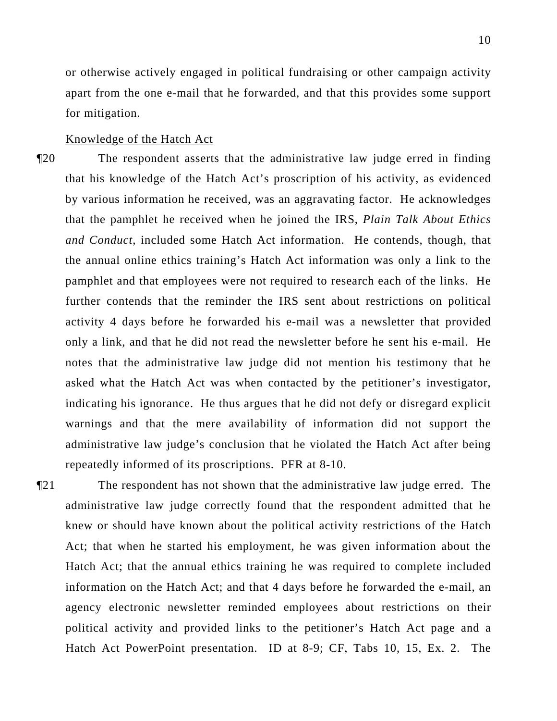or otherwise actively engaged in political fundraising or other campaign activity apart from the one e-mail that he forwarded, and that this provides some support for mitigation.

Knowledge of the Hatch Act

¶20 The respondent asserts that the administrative law judge erred in finding that his knowledge of the Hatch Act's proscription of his activity, as evidenced by various information he received, was an aggravating factor. He acknowledges that the pamphlet he received when he joined the IRS, *Plain Talk About Ethics and Conduct*, included some Hatch Act information. He contends, though, that the annual online ethics training's Hatch Act information was only a link to the pamphlet and that employees were not required to research each of the links. He further contends that the reminder the IRS sent about restrictions on political activity 4 days before he forwarded his e-mail was a newsletter that provided only a link, and that he did not read the newsletter before he sent his e-mail. He notes that the administrative law judge did not mention his testimony that he asked what the Hatch Act was when contacted by the petitioner's investigator, indicating his ignorance. He thus argues that he did not defy or disregard explicit warnings and that the mere availability of information did not support the administrative law judge's conclusion that he violated the Hatch Act after being repeatedly informed of its proscriptions. PFR at 8-10.

¶21 The respondent has not shown that the administrative law judge erred. The administrative law judge correctly found that the respondent admitted that he knew or should have known about the political activity restrictions of the Hatch Act; that when he started his employment, he was given information about the Hatch Act; that the annual ethics training he was required to complete included information on the Hatch Act; and that 4 days before he forwarded the e-mail, an agency electronic newsletter reminded employees about restrictions on their political activity and provided links to the petitioner's Hatch Act page and a Hatch Act PowerPoint presentation. ID at 8-9; CF, Tabs 10, 15, Ex. 2. The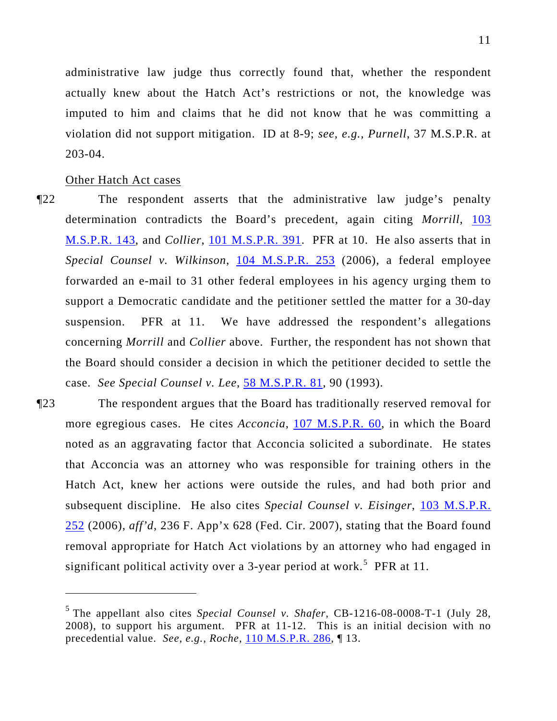administrative law judge thus correctly found that, whether the respondent actually knew about the Hatch Act's restrictions or not, the knowledge was imputed to him and claims that he did not know that he was committing a violation did not support mitigation. ID at 8-9; *see, e.g., Purnell*, 37 M.S.P.R. at 203-04.

Other Hatch Act cases

 $\overline{a}$ 

- ¶22 The respondent asserts that the administrative law judge's penalty determination contradicts the Board's precedent, again citing *Morrill*, [103](http://www.mspb.gov/netsearch/getdecision.aspx?volume=103&page=143)  [M.S.P.R. 143,](http://www.mspb.gov/netsearch/getdecision.aspx?volume=103&page=143) and *Collier*, [101 M.S.P.R. 391.](http://www.mspb.gov/netsearch/getdecision.aspx?volume=101&page=391) PFR at 10. He also asserts that in *Special Counsel v. Wilkinson*, [104 M.S.P.R. 253](http://www.mspb.gov/netsearch/getdecision.aspx?volume=104&page=253) (2006), a federal employee forwarded an e-mail to 31 other federal employees in his agency urging them to support a Democratic candidate and the petitioner settled the matter for a 30-day suspension. PFR at 11. We have addressed the respondent's allegations concerning *Morrill* and *Collier* above. Further, the respondent has not shown that the Board should consider a decision in which the petitioner decided to settle the case. *See Special Counsel v. Lee*, [58 M.S.P.R. 81,](http://www.mspb.gov/netsearch/getdecision.aspx?volume=58&page=81) 90 (1993).
- ¶23 The respondent argues that the Board has traditionally reserved removal for more egregious cases. He cites *Acconcia*, [107 M.S.P.R. 60](http://www.mspb.gov/netsearch/getdecision.aspx?volume=107&page=60), in which the Board noted as an aggravating factor that Acconcia solicited a subordinate. He states that Acconcia was an attorney who was responsible for training others in the Hatch Act, knew her actions were outside the rules, and had both prior and subsequent discipline. He also cites *Special Counsel v. Eisinger*, [103 M.S.P.R.](http://www.mspb.gov/netsearch/getdecision.aspx?volume=103&page=252)  [252](http://www.mspb.gov/netsearch/getdecision.aspx?volume=103&page=252) (2006), *aff'd*, 236 F. App'x 628 (Fed. Cir. 2007), stating that the Board found removal appropriate for Hatch Act violations by an attorney who had engaged in significant political activity over a 3-year period at work.<sup>[5](#page-10-0)</sup> PFR at 11.

<span id="page-10-0"></span><sup>5</sup> The appellant also cites *Special Counsel v. Shafer*, CB-1216-08-0008-T-1 (July 28, 2008), to support his argument. PFR at 11-12. This is an initial decision with no precedential value. *See, e.g., Roche*, [110 M.S.P.R. 286,](http://www.mspb.gov/netsearch/getdecision.aspx?volume=110&page=286) ¶ 13.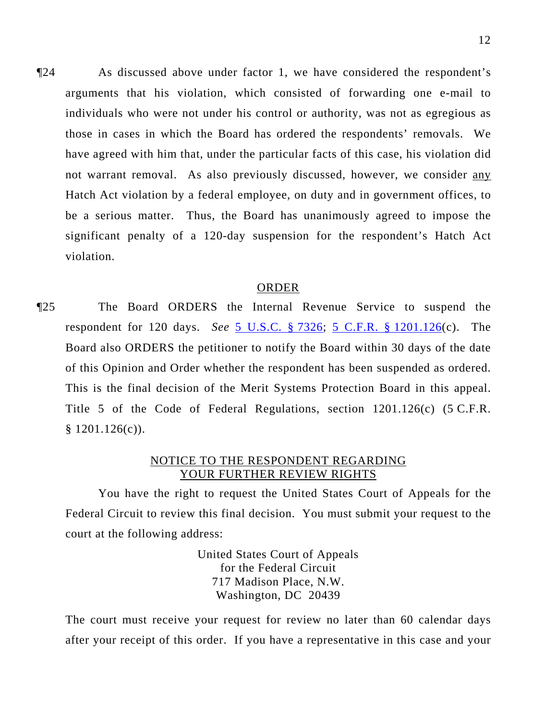¶24 As discussed above under factor 1, we have considered the respondent's arguments that his violation, which consisted of forwarding one e-mail to individuals who were not under his control or authority, was not as egregious as those in cases in which the Board has ordered the respondents' removals. We have agreed with him that, under the particular facts of this case, his violation did not warrant removal. As also previously discussed, however, we consider any Hatch Act violation by a federal employee, on duty and in government offices, to be a serious matter. Thus, the Board has unanimously agreed to impose the significant penalty of a 120-day suspension for the respondent's Hatch Act violation.

#### ORDER

¶25 The Board ORDERS the Internal Revenue Service to suspend the respondent for 120 days. *See* [5 U.S.C. § 7326](http://www.law.cornell.edu/uscode/5/7326.html); [5 C.F.R. § 1201.126](http://frwebgate.access.gpo.gov/cgi-bin/get-cfr.cgi?YEAR=current&TITLE=5&PART=1201&SECTION=126&TYPE=PDF)(c). The Board also ORDERS the petitioner to notify the Board within 30 days of the date of this Opinion and Order whether the respondent has been suspended as ordered. This is the final decision of the Merit Systems Protection Board in this appeal. Title 5 of the Code of Federal Regulations, section 1201.126(c) (5 C.F.R.  $$ 1201.126(c)$ .

### NOTICE TO THE RESPONDENT REGARDING YOUR FURTHER REVIEW RIGHTS

You have the right to request the United States Court of Appeals for the Federal Circuit to review this final decision. You must submit your request to the court at the following address:

> United States Court of Appeals for the Federal Circuit 717 Madison Place, N.W. Washington, DC 20439

The court must receive your request for review no later than 60 calendar days after your receipt of this order. If you have a representative in this case and your